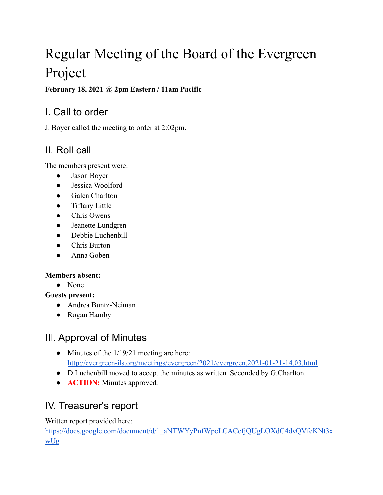# Regular Meeting of the Board of the Evergreen Project

#### **February 18, 2021 @ 2pm Eastern / 11am Pacific**

# I. Call to order

J. Boyer called the meeting to order at 2:02pm.

## II. Roll call

The members present were:

- Jason Boyer
- Jessica Woolford
- Galen Charlton
- Tiffany Little
- Chris Owens
- Jeanette Lundgren
- Debbie Luchenbill
- Chris Burton
- Anna Goben

#### **Members absent:**

● None

#### **Guests present:**

- Andrea Buntz-Neiman
- Rogan Hamby

# III. Approval of Minutes

- Minutes of the 1/19/21 meeting are here: <http://evergreen-ils.org/meetings/evergreen/2021/evergreen.2021-01-21-14.03.html>
- D.Luchenbill moved to accept the minutes as written. Seconded by G.Charlton.
- **ACTION:** Minutes approved.

# IV. Treasurer's report

Written report provided here:

[https://docs.google.com/document/d/1\\_aNTWYyPnfWpeLCACefjQUgLOXdC4dvQVfeKNt3x](https://docs.google.com/document/d/1_aNTWYyPnfWpeLCACefjQUgLOXdC4dvQVfeKNt3xwUg) [wUg](https://docs.google.com/document/d/1_aNTWYyPnfWpeLCACefjQUgLOXdC4dvQVfeKNt3xwUg)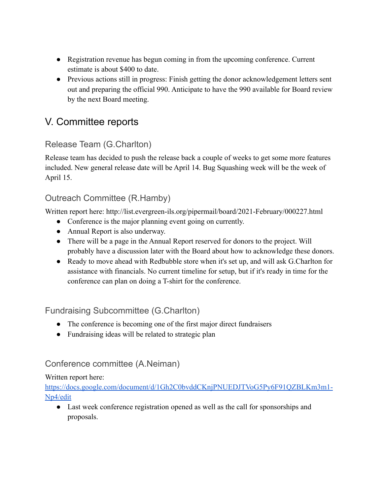- Registration revenue has begun coming in from the upcoming conference. Current estimate is about \$400 to date.
- Previous actions still in progress: Finish getting the donor acknowledgement letters sent out and preparing the official 990. Anticipate to have the 990 available for Board review by the next Board meeting.

### V. Committee reports

#### Release Team (G.Charlton)

Release team has decided to push the release back a couple of weeks to get some more features included. New general release date will be April 14. Bug Squashing week will be the week of April 15.

#### Outreach Committee (R.Hamby)

Written report here: http://list.evergreen-ils.org/pipermail/board/2021-February/000227.html

- Conference is the major planning event going on currently.
- Annual Report is also underway.
- There will be a page in the Annual Report reserved for donors to the project. Will probably have a discussion later with the Board about how to acknowledge these donors.
- Ready to move ahead with Redbubble store when it's set up, and will ask G.Charlton for assistance with financials. No current timeline for setup, but if it's ready in time for the conference can plan on doing a T-shirt for the conference.

#### Fundraising Subcommittee (G.Charlton)

- The conference is becoming one of the first major direct fundraisers
- Fundraising ideas will be related to strategic plan

#### Conference committee (A.Neiman)

#### Written report here:

[https://docs.google.com/document/d/1Gh2C0bvddCKnjPNUEDJTVoG5Py6F91QZBLKm3m1-](https://docs.google.com/document/d/1Gh2C0bvddCKnjPNUEDJTVoG5Py6F91QZBLKm3m1-Np4/edit) [Np4/edit](https://docs.google.com/document/d/1Gh2C0bvddCKnjPNUEDJTVoG5Py6F91QZBLKm3m1-Np4/edit)

● Last week conference registration opened as well as the call for sponsorships and proposals.